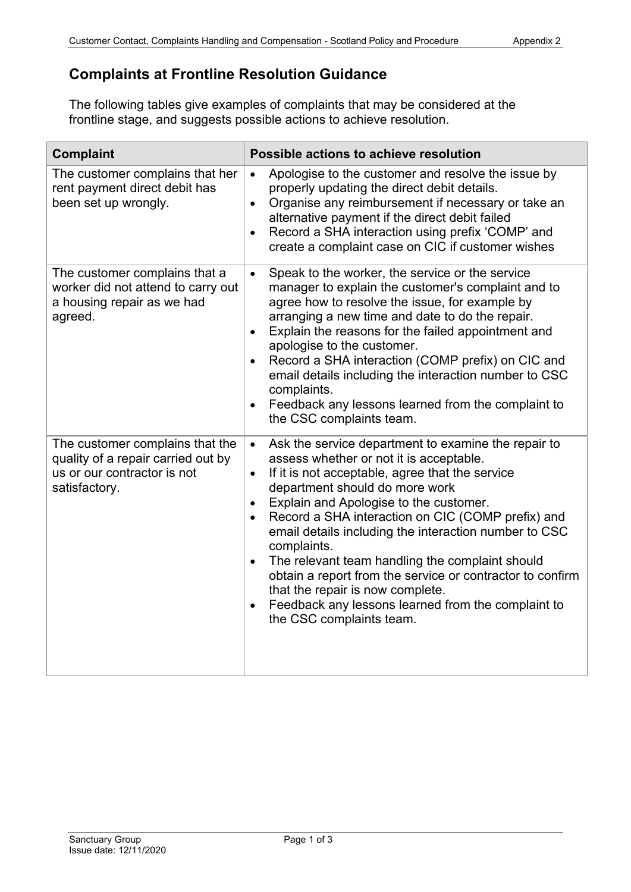## **Complaints at Frontline Resolution Guidance**

The following tables give examples of complaints that may be considered at the frontline stage, and suggests possible actions to achieve resolution.

| <b>Complaint</b>                                                                                                      | Possible actions to achieve resolution                                                                                                                                                                                                                                                                                                                                                                                                                                                                                                                                                                                                                                         |
|-----------------------------------------------------------------------------------------------------------------------|--------------------------------------------------------------------------------------------------------------------------------------------------------------------------------------------------------------------------------------------------------------------------------------------------------------------------------------------------------------------------------------------------------------------------------------------------------------------------------------------------------------------------------------------------------------------------------------------------------------------------------------------------------------------------------|
| The customer complains that her<br>rent payment direct debit has<br>been set up wrongly.                              | Apologise to the customer and resolve the issue by<br>$\bullet$<br>properly updating the direct debit details.<br>Organise any reimbursement if necessary or take an<br>$\bullet$<br>alternative payment if the direct debit failed<br>Record a SHA interaction using prefix 'COMP' and<br>$\bullet$<br>create a complaint case on CIC if customer wishes                                                                                                                                                                                                                                                                                                                      |
| The customer complains that a<br>worker did not attend to carry out<br>a housing repair as we had<br>agreed.          | Speak to the worker, the service or the service<br>$\bullet$<br>manager to explain the customer's complaint and to<br>agree how to resolve the issue, for example by<br>arranging a new time and date to do the repair.<br>Explain the reasons for the failed appointment and<br>$\bullet$<br>apologise to the customer.<br>Record a SHA interaction (COMP prefix) on CIC and<br>$\bullet$<br>email details including the interaction number to CSC<br>complaints.<br>Feedback any lessons learned from the complaint to<br>$\bullet$<br>the CSC complaints team.                                                                                                              |
| The customer complains that the<br>quality of a repair carried out by<br>us or our contractor is not<br>satisfactory. | Ask the service department to examine the repair to<br>$\bullet$<br>assess whether or not it is acceptable.<br>If it is not acceptable, agree that the service<br>$\bullet$<br>department should do more work<br>Explain and Apologise to the customer.<br>$\bullet$<br>Record a SHA interaction on CIC (COMP prefix) and<br>$\bullet$<br>email details including the interaction number to CSC<br>complaints.<br>The relevant team handling the complaint should<br>$\bullet$<br>obtain a report from the service or contractor to confirm<br>that the repair is now complete.<br>Feedback any lessons learned from the complaint to<br>$\bullet$<br>the CSC complaints team. |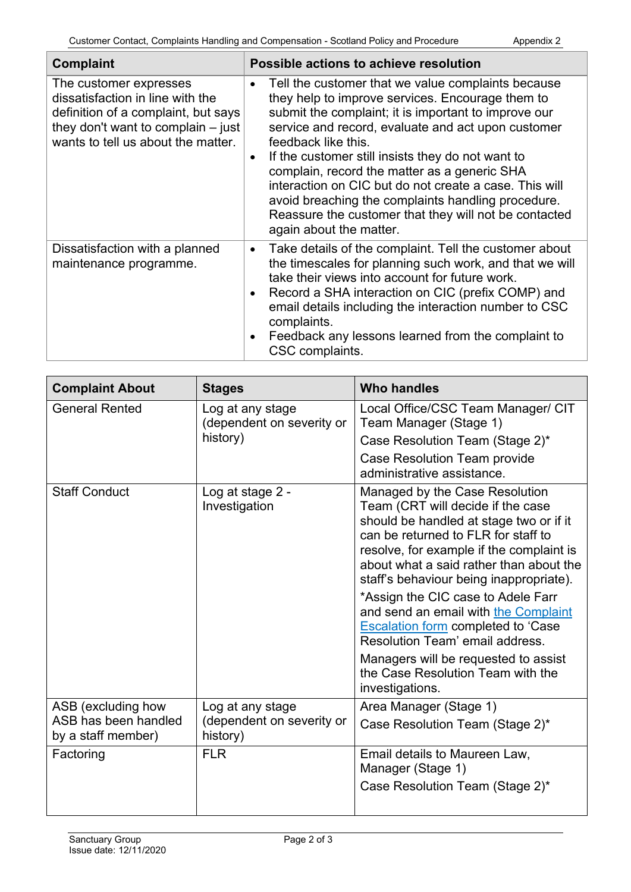| <b>Complaint</b>                                                                                                                                                                | Possible actions to achieve resolution                                                                                                                                                                                                                                                                                                                                                                                                                                                                                                                                         |  |
|---------------------------------------------------------------------------------------------------------------------------------------------------------------------------------|--------------------------------------------------------------------------------------------------------------------------------------------------------------------------------------------------------------------------------------------------------------------------------------------------------------------------------------------------------------------------------------------------------------------------------------------------------------------------------------------------------------------------------------------------------------------------------|--|
| The customer expresses<br>dissatisfaction in line with the<br>definition of a complaint, but says<br>they don't want to complain $-$ just<br>wants to tell us about the matter. | Tell the customer that we value complaints because<br>$\bullet$<br>they help to improve services. Encourage them to<br>submit the complaint; it is important to improve our<br>service and record, evaluate and act upon customer<br>feedback like this.<br>If the customer still insists they do not want to<br>$\bullet$<br>complain, record the matter as a generic SHA<br>interaction on CIC but do not create a case. This will<br>avoid breaching the complaints handling procedure.<br>Reassure the customer that they will not be contacted<br>again about the matter. |  |
| Dissatisfaction with a planned<br>maintenance programme.                                                                                                                        | Take details of the complaint. Tell the customer about<br>$\bullet$<br>the timescales for planning such work, and that we will<br>take their views into account for future work.<br>Record a SHA interaction on CIC (prefix COMP) and<br>$\bullet$<br>email details including the interaction number to CSC<br>complaints.<br>Feedback any lessons learned from the complaint to<br>$\bullet$<br>CSC complaints.                                                                                                                                                               |  |

| <b>Complaint About</b>                     | <b>Stages</b>                                             | <b>Who handles</b>                                                                                                                                                                                                                                                                                                                                                                                                                                                                                                                 |
|--------------------------------------------|-----------------------------------------------------------|------------------------------------------------------------------------------------------------------------------------------------------------------------------------------------------------------------------------------------------------------------------------------------------------------------------------------------------------------------------------------------------------------------------------------------------------------------------------------------------------------------------------------------|
| <b>General Rented</b>                      | Log at any stage<br>(dependent on severity or<br>history) | Local Office/CSC Team Manager/ CIT<br>Team Manager (Stage 1)                                                                                                                                                                                                                                                                                                                                                                                                                                                                       |
|                                            |                                                           | Case Resolution Team (Stage 2)*                                                                                                                                                                                                                                                                                                                                                                                                                                                                                                    |
|                                            |                                                           | <b>Case Resolution Team provide</b><br>administrative assistance.                                                                                                                                                                                                                                                                                                                                                                                                                                                                  |
| <b>Staff Conduct</b>                       | Log at stage 2 -<br>Investigation                         | Managed by the Case Resolution<br>Team (CRT will decide if the case<br>should be handled at stage two or if it<br>can be returned to FLR for staff to<br>resolve, for example if the complaint is<br>about what a said rather than about the<br>staff's behaviour being inappropriate).<br>*Assign the CIC case to Adele Farr<br>and send an email with the Complaint<br><b>Escalation form completed to 'Case</b><br>Resolution Team' email address.<br>Managers will be requested to assist<br>the Case Resolution Team with the |
|                                            |                                                           | investigations.                                                                                                                                                                                                                                                                                                                                                                                                                                                                                                                    |
| ASB (excluding how<br>ASB has been handled | Log at any stage<br>(dependent on severity or<br>history) | Area Manager (Stage 1)<br>Case Resolution Team (Stage 2)*                                                                                                                                                                                                                                                                                                                                                                                                                                                                          |
| by a staff member)                         |                                                           |                                                                                                                                                                                                                                                                                                                                                                                                                                                                                                                                    |
| Factoring                                  | <b>FLR</b>                                                | Email details to Maureen Law,<br>Manager (Stage 1)                                                                                                                                                                                                                                                                                                                                                                                                                                                                                 |
|                                            |                                                           | Case Resolution Team (Stage 2)*                                                                                                                                                                                                                                                                                                                                                                                                                                                                                                    |